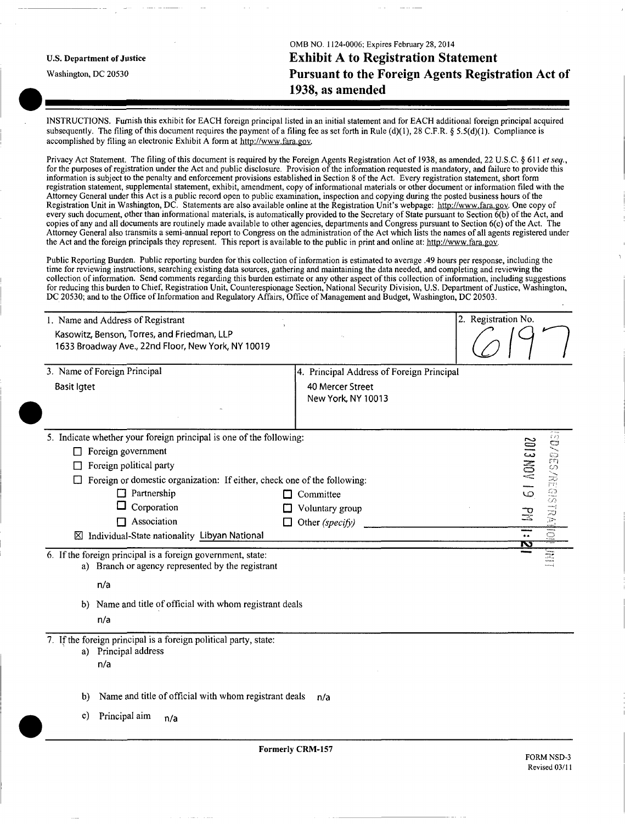|                                   | OMB NO. 1124-0006; Expires February 28, 2014       |
|-----------------------------------|----------------------------------------------------|
| <b>U.S. Department of Justice</b> | <b>Exhibit A to Registration Statement</b>         |
| Washington, DC 20530              | Pursuant to the Foreign Agents Registration Act of |
|                                   | 1938, as amended                                   |
|                                   |                                                    |

INSTRUCTIONS. Furnish this exhibit for EACH foreign principal listed in an initial statement and for EACH additional foreign principal acquired subsequently. The filing of this document requires the payment of a filing fee as set forth in Rule (d)(1), 28 C.F.R. § 5.5(d)(1). Compliance is accomplished by filing an electronic Exhibit A form at [http://www.fara.gov.](http://www.fara.gov)

Privacy Act Statement. The filing of this document is required by the Foreign Agents Registration Act of 1938, as amended, 22 U.S.C. § 611 et seq., for the purposes of registration under the Act and public disclosure. Provision of the information requested is mandatory, and failure to provide this information is subject to the penalty and enforcement provisions established in Section 8 of the Act. Every registration statement, short form registration statement, supplemental statement, exhibit, amendment, copy of informational materials or other document or information filed with the Attorney General under this Act is a public record open to public examination, inspection and copying during the posted business hours of the Registration Unit in Washington, DC. Statements are also available online at the Registration Unit's webpage: [http://www.fara.gov.](http://www.fara.gov) One copy of every such document, other than informational materials, is automatically provided to the Secretary of State pursuant to Section 6(b) of the Act, and copies of any and all documents are routinely made available to other agencies, departments and Congress pursuant to Section 6(c) of the Act. The Attorney General also transmits a semi-annual report to Congress on the administration of the Act which lists the names of all agents registered under the Act and the foreign principals they represent. This report is available to the public in print and online at: [http://www.fara.gov.](http://www.fara.gov)

Public Reporting Burden. Public reporting burden for this collection of information is estimated to average .49 hours per response, including the time for reviewing instructions, searching existing data sources, gathering and maintaining the data needed, and completing and reviewing the collection of information. Send comments regarding this burden estimate or any other aspect of this collection of information, including suggestions for reducing this burden to Chief, Registration Unit, Counterespionage Section, National Security Division, U.S. Department of Justice, Washington, DC 20530; and to the Office of Information and Regulatory Affairs, Office of Management and Budget, Washington, DC 20503.

|                                                                     | 2. Registration No.                                                                                                                         |
|---------------------------------------------------------------------|---------------------------------------------------------------------------------------------------------------------------------------------|
|                                                                     |                                                                                                                                             |
|                                                                     |                                                                                                                                             |
| 4. Principal Address of Foreign Principal                           |                                                                                                                                             |
| 40 Mercer Street<br>New York, NY 10013                              |                                                                                                                                             |
| 5. Indicate whether your foreign principal is one of the following: |                                                                                                                                             |
|                                                                     | <b>EDIMINISTRATION</b><br><b>61 AON EIOZ</b>                                                                                                |
|                                                                     |                                                                                                                                             |
|                                                                     |                                                                                                                                             |
| $\Box$ Committee                                                    |                                                                                                                                             |
| Voluntary group<br>Ü                                                | $\mathbb{R}^2$                                                                                                                              |
| Other (specify)<br>П                                                |                                                                                                                                             |
|                                                                     | $\overline{\Xi}$<br>≕<br>Ñ                                                                                                                  |
| a) Branch or agency represented by the registrant                   | E                                                                                                                                           |
|                                                                     |                                                                                                                                             |
|                                                                     |                                                                                                                                             |
| 7. If the foreign principal is a foreign political party, state:    |                                                                                                                                             |
|                                                                     |                                                                                                                                             |
|                                                                     |                                                                                                                                             |
| Name and title of official with whom registrant deals<br>n/a        |                                                                                                                                             |
|                                                                     |                                                                                                                                             |
| <b>Formerly CRM-157</b>                                             | <b>FORM NSD-3</b><br>Revised 03/11                                                                                                          |
|                                                                     | $\Box$ Foreign or domestic organization: If either, check one of the following:<br>b) Name and title of official with whom registrant deals |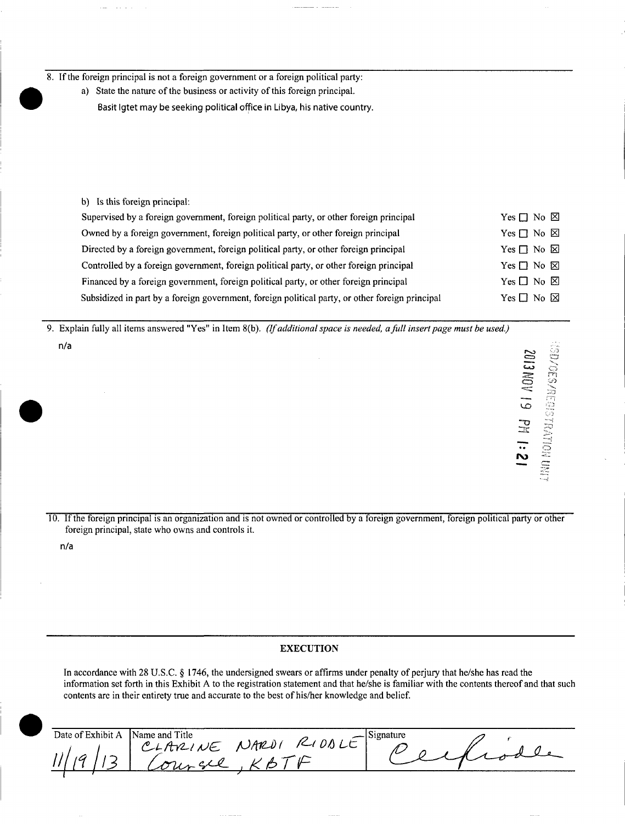8. If the foreign principal is not a foreign government or a foreign political party:

a) State the nature of the business or activity of this foreign principal.

Basit Igtet may be seeking political office in Libya, his native country.

b) Is this foreign principal:

| Supervised by a foreign government, foreign political party, or other foreign principal         | Yes $\Box$ No $\boxtimes$ |
|-------------------------------------------------------------------------------------------------|---------------------------|
| Owned by a foreign government, foreign political party, or other foreign principal              | Yes $\Box$ No $\boxtimes$ |
| Directed by a foreign government, foreign political party, or other foreign principal           | $Yes \Box No \boxtimes$   |
| Controlled by a foreign government, foreign political party, or other foreign principal         | Yes $\Box$ No $\boxtimes$ |
| Financed by a foreign government, foreign political party, or other foreign principal           | Yes $\Box$ No $\boxtimes$ |
| Subsidized in part by a foreign government, foreign political party, or other foreign principal | Yes $\Box$ No $\boxtimes$ |

9. Explain fully all items answered "Yes" in Item 8(b). (If additional space is needed, a full insert page must be used.) n/a

10. If the foreign principal is an organization and is not owned or controlled by a foreign government, foreign political party or other foreign principal, state who owns and controls it.

n/a

### EXECUTION

In accordance with 28 U.S.C. § 1746, the undersigned swears or affirms under penalty of perjury that he/she has read the information set forth in this Exhibit A to the registration statement and that he/she is familiar with the contents thereof and that such contents are in their entirety true and accurate to the best of his/her knowledge and belief.

| Date of Exhibit A | Name and Title |      | Signature |  |
|-------------------|----------------|------|-----------|--|
| ∽                 | w<br>– אנ      | OMU' |           |  |
|                   |                |      |           |  |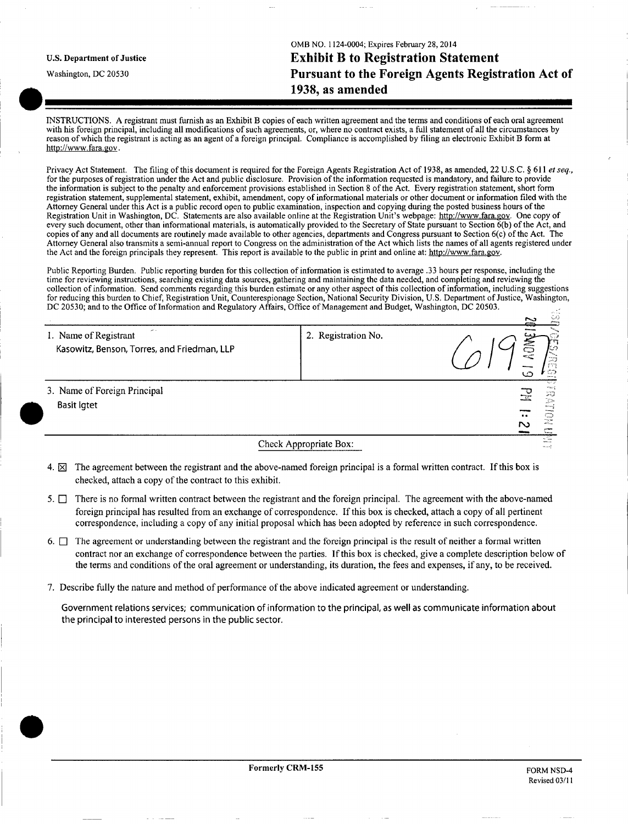U.S. Department of Justice

Washington, DC 20530

OMB NO. 1124-0004; Expires February 28, 2014 Exhibit B to Registration Statement Pursuant to the Foreign Agents Registration Act of 1938, as amended

INSTRUCTIONS. A registrant must furnish as an Exhibit B copies of each written agreement and the terms and conditions of each oral agreement with his foreign principal, including all modifications of such agreements, or, where no contract exists, a full statement of all the circumstances by reason of which the registrant is acting as an agent of a foreign principal. Compliance is accomplished by filing an electronic Exhibit B form at [http://www.fara.gov.](http://www.fara.gov)

Privacy Act Statement. The filing of this document is required for the Foreign Agents Registration Act of 1938, as amended, 22 U.S.C. § 611 et seq., for the purposes of registration under the Act and public disclosure. Provision of the information requested is mandatory, and failure to provide the information is subject to the penalty and enforcement provisions established in Section 8 of the Act. Every registration statement, short form registration statement, supplemental statement, exhibit, amendment, copy of informational materials or other document or information filed with the Attorney General under this Act is a public record open to public examination, inspection and copying during the posted business hours of the Registration Unit in Washington, DC. Statements are also available online at the Registration Unit's webpage: [http://www.fara.gov.](http://www.fara.gov) One copy of every such document, other than informational materials, is automatically provided to the Secretary of State pursuant to Section 6(b) of the Act, and copies of any and all documents are routinely made available to other agencies, departments and Congress pursuant to Section 6(c) of the Act. The Attorney General also transmits a semi-annual report to Congress on the administration of the Act which lists the names of all agents registered under the Act and the foreign principals they represent. This report is available to the public in print and online at: [http://www.fara.gov.](http://www.fara.gov)

Public Reporting Burden. Public reporting burden for this collection of information is estimated to average .33 hours per response, including the time for reviewing instructions, searching existing data sources, gathering and maintaining the data needed, and completing and reviewing the collection of information. Send comments regarding this burden estimate or any other aspect of this collection of information, including suggestions for reducing this burden to Chief, Registration Unit, Counterespionage Section, National Security Division, U.S. Department of Justice, Washington, DC 20530; and to the Office of Information and Regulatory Affairs, Office of Management and Budget, Washington, DC 20503.  $\mathcal{L}_{\alpha}$ 

|                                                                      |                        | الرابية<br>$\simeq$<br>بسنع                                                                                                                                   |
|----------------------------------------------------------------------|------------------------|---------------------------------------------------------------------------------------------------------------------------------------------------------------|
| 1. Name of Registrant<br>Kasowitz, Benson, Torres, and Friedman, LLP | 2. Registration No.    | <b>AO</b><br>KD.<br>ುರ<br>$\mathbb{C}$<br>م ا                                                                                                                 |
| 3. Name of Foreign Principal<br>Basit Igtet                          |                        | <b>Internet</b><br>$\frac{1}{2} \frac{1}{2} \frac{1}{2} \frac{1}{2} \frac{1}{2} \frac{1}{2}$<br>Jb.<br>mmed.<br>ಾ<br>$\bullet$<br>22<br>r.<br>$T_{\rm{beam}}$ |
|                                                                      | Check Appropriate Box: | n Saa<br>terms of                                                                                                                                             |

- 4.  $\boxtimes$  The agreement between the registrant and the above-named foreign principal is a formal written contract. If this box is checked, attach a copy of the contract to this exhibit.
- 5.  $\Box$  There is no formal written contract between the registrant and the foreign principal. The agreement with the above-named foreign principal has resulted from an exchange of correspondence. If this box is checked, attach a copy of all pertinent correspondence, including a copy of any initial proposal which has been adopted by reference in such correspondence.
- 6.  $\Box$  The agreement or understanding between the registrant and the foreign principal is the result of neither a formal written contract nor an exchange of correspondence between the parties. If this box is checked, give a complete description below of the terms and conditions of the oral agreement or understanding, its duration, the fees and expenses, if any, to be received.
- 7. Describe fully the nature and method of performance of the above indicated agreement or understanding.

Government relations services; communication of information to the principal, as well as communicate information about the principal to interested persons in the public sector.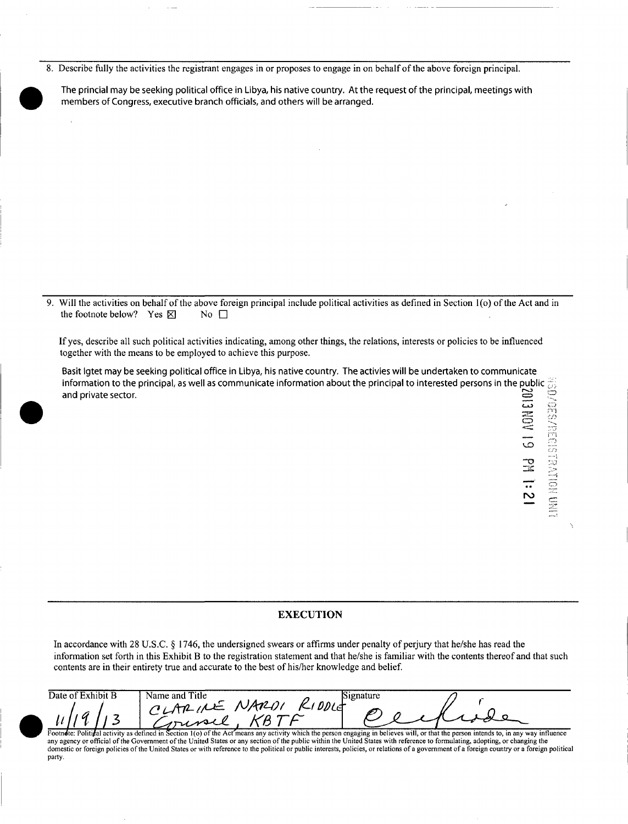8. Describe fully the activities the registrant engages in or proposes to engage in on behalf of the above foreign principal.

The princial may be seeking political office in Libya, his native country. At the request of the principal, meetings with members of Congress, executive branch officials, and others will be arranged.

9. Will the activities on behalf of the above foreign principal include political activities as defined in Section 1(o) of the Act and in the footnote below? Yes  $\boxtimes$  No  $\Box$ the footnote below? Yes  $\boxtimes$ 

If yes, describe all such political activities indicating, among other things, the relations, interests or policies to be influenced together with the means to be employed to achieve this purpose.

Basit Igtet may be seeking political office in Libya, his native country. The activies will be undertaken to communicate information to the principal, as well as communicate information about the principal to interested persons in the public  $\frac{m}{d\beta}$ and private sector.  $\Xi \ \subseteq \ \Xi$ 

 $\varpi$ 

 $\mathbf{\Xi}$ 

### EXECUTION

In accordance with 28 U.S.C. § 1746, the undersigned swears or affirms under penalty of perjury that he/she has read the information set forth in this Exhibit B to the registration statement and that he/she is familiar with the contents thereof and that such contents are in their entirety true and accurate to the best of his/her knowledge and belief.

| Date of Exhibit B | Name and Title<br><b>Signature</b>                                                                                                                                                    |
|-------------------|---------------------------------------------------------------------------------------------------------------------------------------------------------------------------------------|
|                   |                                                                                                                                                                                       |
|                   |                                                                                                                                                                                       |
|                   | Footnote: Political activity as defined in Section 1(0) of the Act means any activity which the person engaging in believes will, or that the person intends to, in any way influence |

any agency or official of the Government of the United States or any section of the public within the United States with reference to formulating, adopting, or changing the domestic or foreign policies of the United States or with reference to the political or public interests, policies, or relations of a government of a foreign country or a foreign political party.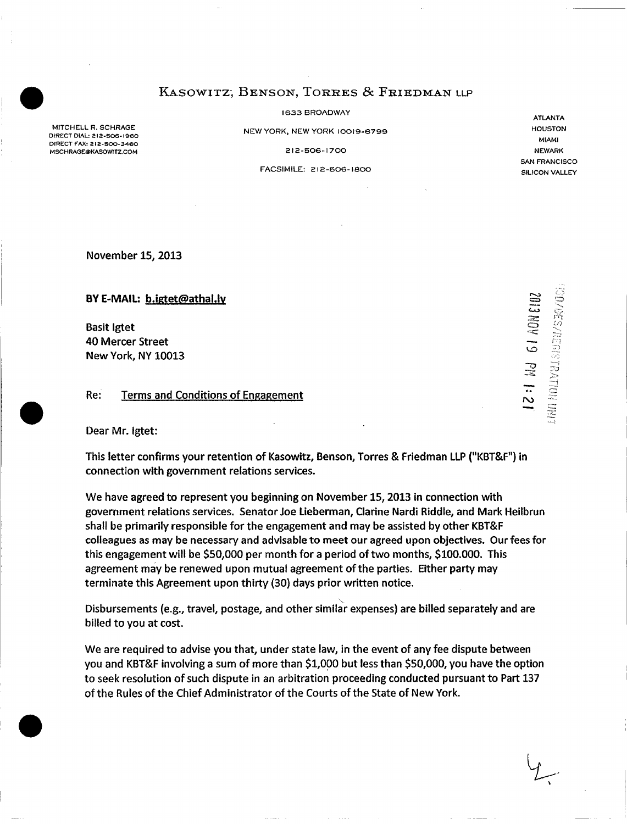## KASOWITZ, BENSON, TORRES & FRIEDMAN LLP

1633 BROADWAY

NEW YORK, NEW YORK 10019-6799

212-506-1700

FACSIMILE: 212-506-180 0

November 15, 2013

MITCHELL R. SCHRAGE DIRECT DIAL: 2I2-SO6-I960 DIRECT FAX: 212-500-3460 MSCHRAGE@KASOWITZ.COM

BY E-MAIL: b.igtet@athal.ly

Basit Igtet 40 Mercer Street New York, NY 10013

### Re: Terms and Conditions of Engagement

Dear Mr. Igtet:

This letter confirms your retention of Kasowitz, Benson, Torres & Friedman LLP ("KBT&F") in connection with government relations services.

We have agreed to represent you beginning on November 15, 2013 in connection with government relations services. Senator Joe Lieberman, Clarine Nardi Riddle, and Mark Heilbrun shall be primarily responsible for the engagement and may be assisted by other KBT&F colleagues as may be necessary and advisable to meet our agreed upon objectives. Our fees for this engagement will be \$50,000 per month for a period of two months, \$100,000. This agreement may be renewed upon mutual agreement of the parties. Either party may terminate this Agreement upon thirty (30) days prior written notice.

Disbursements (e.g., travel, postage, and other similar expenses) are billed separately and are billed to you at cost.

We are required to advise you that, under state law, in the event of any fee dispute between you and KBT&F involving a sum of more than \$1,000 but less than \$50,000, you have the option to seek resolution of such dispute in an arbitration proceeding conducted pursuant to Part 137 of the Rules of the Chief Administrator of the Courts of the State of New York.

NEWARK SAN FRANCISCO SILICON VALLEY

ATLANTA HOUSTON MIAMI